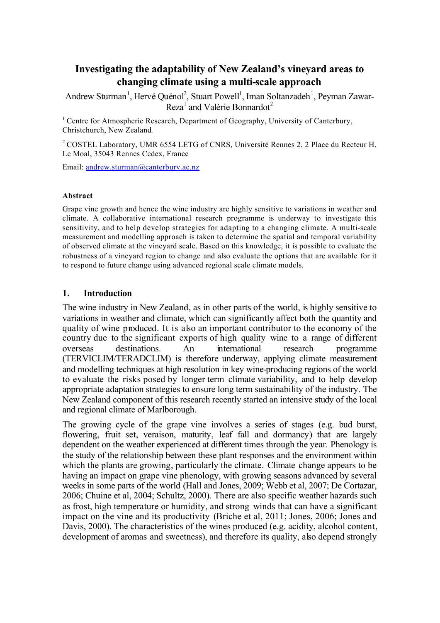# **Investigating the adaptability of New Zealand's vineyard areas to changing climate using a multi-scale approach**

Andrew Sturman<sup>1</sup>, Hervé Quénol<sup>2</sup>, Stuart Powell<sup>1</sup>, Iman Soltanzadeh<sup>1</sup>, Peyman Zawar-Reza<sup>1</sup> and Valérie Bonnardot<sup>2</sup>

<sup>1</sup> Centre for Atmospheric Research, Department of Geography, University of Canterbury, Christchurch, New Zealand.

<sup>2</sup> COSTEL Laboratory, UMR 6554 LETG of CNRS, Université Rennes 2, 2 Place du Recteur H. Le Moal, 35043 Rennes Cedex, France

Email: andrew.sturman@canterbury.ac.nz

#### **Abstract**

Grape vine growth and hence the wine industry are highly sensitive to variations in weather and climate. A collaborative international research programme is underway to investigate this sensitivity, and to help develop strategies for adapting to a changing climate. A multi-scale measurement and modelling approach is taken to determine the spatial and temporal variability of observed climate at the vineyard scale. Based on this knowledge, it is possible to evaluate the robustness of a vineyard region to change and also evaluate the options that are available for it to respond to future change using advanced regional scale climate models.

### **1. Introduction**

The wine industry in New Zealand, as in other parts of the world, is highly sensitive to variations in weather and climate, which can significantly affect both the quantity and quality of wine produced. It is also an important contributor to the economy of the country due to the significant exports of high quality wine to a range of different overseas destinations. An international research programme (TERVICLIM/TERADCLIM) is therefore underway, applying climate measurement and modelling techniques at high resolution in key wine-producing regions of the world to evaluate the risks posed by longer term climate variability, and to help develop appropriate adaptation strategies to ensure long term sustainability of the industry. The New Zealand component of this research recently started an intensive study of the local and regional climate of Marlborough.

The growing cycle of the grape vine involves a series of stages (e.g. bud burst, flowering, fruit set, veraison, maturity, leaf fall and dormancy) that are largely dependent on the weather experienced at different times through the year. Phenology is the study of the relationship between these plant responses and the environment within which the plants are growing, particularly the climate. Climate change appears to be having an impact on grape vine phenology, with growing seasons advanced by several weeks in some parts of the world (Hall and Jones, 2009; Webb et al, 2007; De Cortazar, 2006; Chuine et al, 2004; Schultz, 2000). There are also specific weather hazards such as frost, high temperature or humidity, and strong winds that can have a significant impact on the vine and its productivity (Briche et al, 2011; Jones, 2006; Jones and Davis, 2000). The characteristics of the wines produced (e.g. acidity, alcohol content, development of aromas and sweetness), and therefore its quality, also depend strongly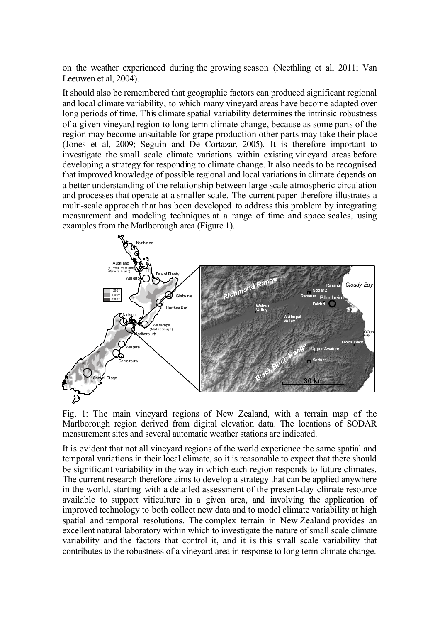on the weather experienced during the growing season (Neethling et al, 2011; Van Leeuwen et al, 2004).

It should also be remembered that geographic factors can produced significant regional and local climate variability, to which many vineyard areas have become adapted over long periods of time. This climate spatial variability determines the intrinsic robustness of a given vineyard region to long term climate change, because as some parts of the region may become unsuitable for grape production other parts may take their place (Jones et al, 2009; Seguin and De Cortazar, 2005). It is therefore important to investigate the small scale climate variations within existing vineyard areas before developing a strategy for responding to climate change. It also needs to be recognised that improved knowledge of possible regional and local variations in climate depends on a better understanding of the relationship between large scale atmospheric circulation and processes that operate at a smaller scale. The current paper therefore illustrates a multi-scale approach that has been developed to address this problem by integrating measurement and modeling techniques at a range of time and space scales, using examples from the Marlborough area (Figure 1).



Fig. 1: The main vineyard regions of New Zealand, with a terrain map of the Marlborough region derived from digital elevation data. The locations of SODAR measurement sites and several automatic weather stations are indicated.

It is evident that not all vineyard regions of the world experience the same spatial and temporal variations in their local climate, so it is reasonable to expect that there should be significant variability in the way in which each region responds to future climates. The current research therefore aims to develop a strategy that can be applied anywhere in the world, starting with a detailed assessment of the present-day climate resource available to support viticulture in a given area, and involving the application of improved technology to both collect new data and to model climate variability at high spatial and temporal resolutions. The complex terrain in New Zealand provides an excellent natural laboratory within which to investigate the nature of small scale climate variability and the factors that control it, and it is this small scale variability that contributes to the robustness of a vineyard area in response to long term climate change.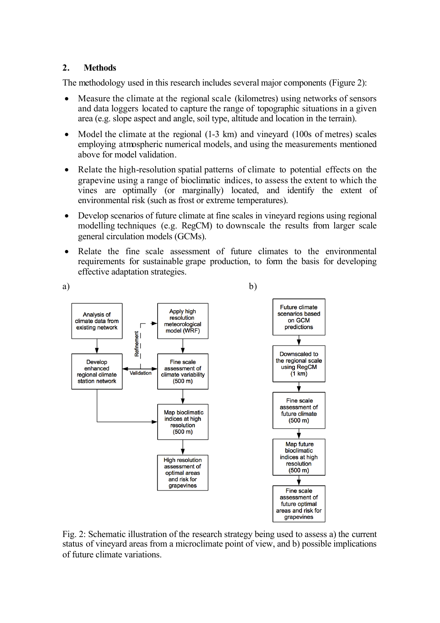# **2. Methods**

The methodology used in this research includes several major components (Figure 2):

- Measure the climate at the regional scale (kilometres) using networks of sensors and data loggers located to capture the range of topographic situations in a given area (e.g. slope aspect and angle, soil type, altitude and location in the terrain).
- Model the climate at the regional (1-3 km) and vineyard (100s of metres) scales employing atmospheric numerical models, and using the measurements mentioned above for model validation.
- Relate the high-resolution spatial patterns of climate to potential effects on the grapevine using a range of bioclimatic indices, to assess the extent to which the vines are optimally (or marginally) located, and identify the extent of environmental risk (such as frost or extreme temperatures).
- Develop scenarios of future climate at fine scales in vineyard regions using regional modelling techniques (e.g. RegCM) to downscale the results from larger scale general circulation models (GCMs).
- Relate the fine scale assessment of future climates to the environmental requirements for sustainable grape production, to form the basis for developing effective adaptation strategies.



Fig. 2: Schematic illustration of the research strategy being used to assess a) the current status of vineyard areas from a microclimate point of view, and b) possible implications of future climate variations.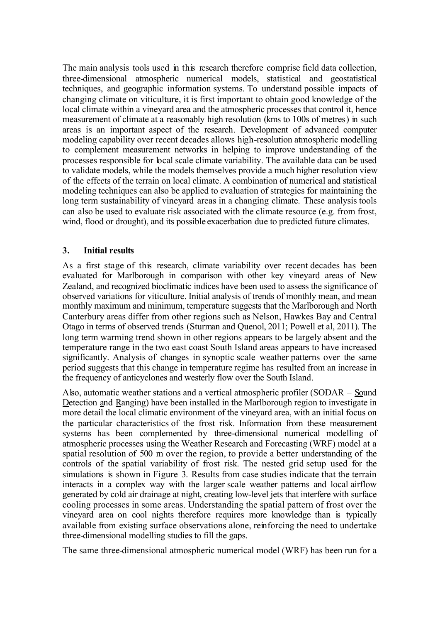The main analysis tools used in this research therefore comprise field data collection, three-dimensional atmospheric numerical models, statistical and geostatistical techniques, and geographic information systems. To understand possible impacts of changing climate on viticulture, it is first important to obtain good knowledge of the local climate within a vineyard area and the atmospheric processes that control it, hence measurement of climate at a reasonably high resolution (kms to 100s of metres) in such areas is an important aspect of the research. Development of advanced computer modeling capability over recent decades allows high-resolution atmospheric modelling to complement measurement networks in helping to improve understanding of the processes responsible for local scale climate variability. The available data can be used to validate models, while the models themselves provide a much higher resolution view of the effects of the terrain on local climate. A combination of numerical and statistical modeling techniques can also be applied to evaluation of strategies for maintaining the long term sustainability of vineyard areas in a changing climate. These analysis tools can also be used to evaluate risk associated with the climate resource (e.g. from frost, wind, flood or drought), and its possible exacerbation due to predicted future climates.

# **3. Initial results**

As a first stage of this research, climate variability over recent decades has been evaluated for Marlborough in comparison with other key vineyard areas of New Zealand, and recognized bioclimatic indices have been used to assess the significance of observed variations for viticulture. Initial analysis of trends of monthly mean, and mean monthly maximum and minimum, temperature suggests that the Marlborough and North Canterbury areas differ from other regions such as Nelson, Hawkes Bay and Central Otago in terms of observed trends (Sturman and Quenol, 2011; Powell et al, 2011). The long term warming trend shown in other regions appears to be largely absent and the temperature range in the two east coast South Island areas appears to have increased significantly. Analysis of changes in synoptic scale weather patterns over the same period suggests that this change in temperature regime has resulted from an increase in the frequency of anticyclones and westerly flow over the South Island.

Also, automatic weather stations and a vertical atmospheric profiler (SODAR – Sound Detection and Ranging) have been installed in the Marlborough region to investigate in more detail the local climatic environment of the vineyard area, with an initial focus on the particular characteristics of the frost risk. Information from these measurement systems has been complemented by three-dimensional numerical modelling of atmospheric processes using the Weather Research and Forecasting (WRF) model at a spatial resolution of 500 m over the region, to provide a better understanding of the controls of the spatial variability of frost risk. The nested grid setup used for the simulations is shown in Figure 3. Results from case studies indicate that the terrain interacts in a complex way with the larger scale weather patterns and local airflow generated by cold air drainage at night, creating low-level jets that interfere with surface cooling processes in some areas. Understanding the spatial pattern of frost over the vineyard area on cool nights therefore requires more knowledge than is typically available from existing surface observations alone, reinforcing the need to undertake three-dimensional modelling studies to fill the gaps.

The same three-dimensional atmospheric numerical model (WRF) has been run for a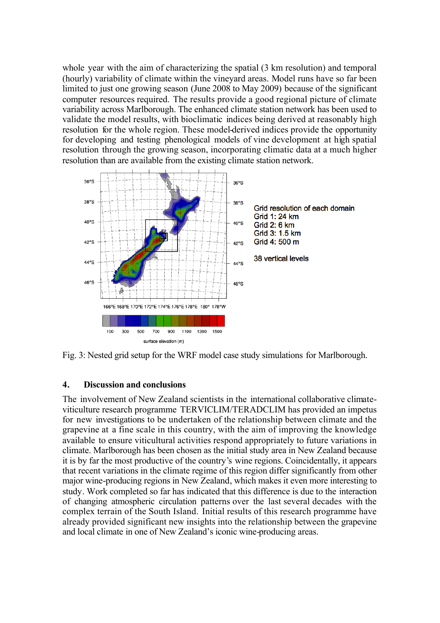whole year with the aim of characterizing the spatial  $(3 \text{ km resolution})$  and temporal (hourly) variability of climate within the vineyard areas. Model runs have so far been limited to just one growing season (June 2008 to May 2009) because of the significant computer resources required. The results provide a good regional picture of climate variability across Marlborough. The enhanced climate station network has been used to validate the model results, with bioclimatic indices being derived at reasonably high resolution for the whole region. These model-derived indices provide the opportunity for developing and testing phenological models of vine development at high spatial resolution through the growing season, incorporating climatic data at a much higher resolution than are available from the existing climate station network.



Fig. 3: Nested grid setup for the WRF model case study simulations for Marlborough.

### **4. Discussion and conclusions**

The involvement of New Zealand scientists in the international collaborative climateviticulture research programme TERVICLIM/TERADCLIM has provided an impetus for new investigations to be undertaken of the relationship between climate and the grapevine at a fine scale in this country, with the aim of improving the knowledge available to ensure viticultural activities respond appropriately to future variations in climate. Marlborough has been chosen as the initial study area in New Zealand because it is by far the most productive of the country's wine regions. Coincidentally, it appears that recent variations in the climate regime of this region differ significantly from other major wine-producing regions in New Zealand, which makes it even more interesting to study. Work completed so far has indicated that this difference is due to the interaction of changing atmospheric circulation patterns over the last several decades with the complex terrain of the South Island. Initial results of this research programme have already provided significant new insights into the relationship between the grapevine and local climate in one of New Zealand's iconic wine-producing areas.